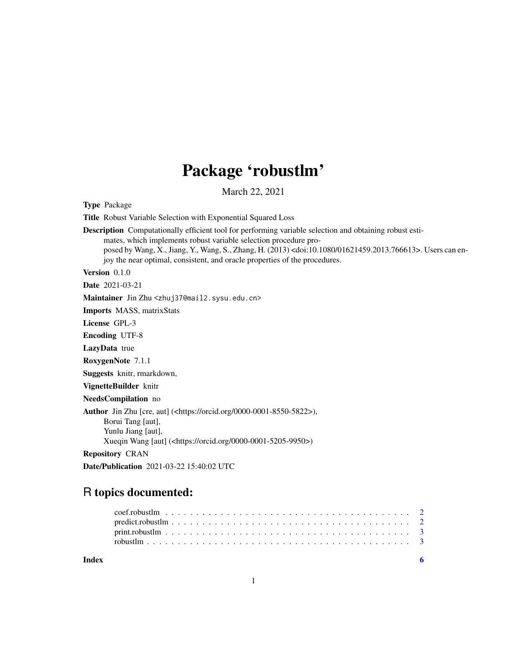## Package 'robustlm'

March 22, 2021

Type Package

Title Robust Variable Selection with Exponential Squared Loss

Description Computationally efficient tool for performing variable selection and obtaining robust estimates, which implements robust variable selection procedure proposed by Wang, X., Jiang, Y., Wang, S., Zhang, H. (2013) <doi:10.1080/01621459.2013.766613>. Users can enjoy the near optimal, consistent, and oracle properties of the procedures.

Version 0.1.0

Date 2021-03-21

Maintainer Jin Zhu <zhuj37@mail2.sysu.edu.cn>

Imports MASS, matrixStats

License GPL-3

Encoding UTF-8

LazyData true

RoxygenNote 7.1.1

Suggests knitr, rmarkdown,

VignetteBuilder knitr

NeedsCompilation no

Author Jin Zhu [cre, aut] (<https://orcid.org/0000-0001-8550-5822>), Borui Tang [aut], Yunlu Jiang [aut],

Xueqin Wang [aut] (<https://orcid.org/0000-0001-5205-9950>)

Repository CRAN

Date/Publication 2021-03-22 15:40:02 UTC

### R topics documented:

**Index** [6](#page-5-0) **6**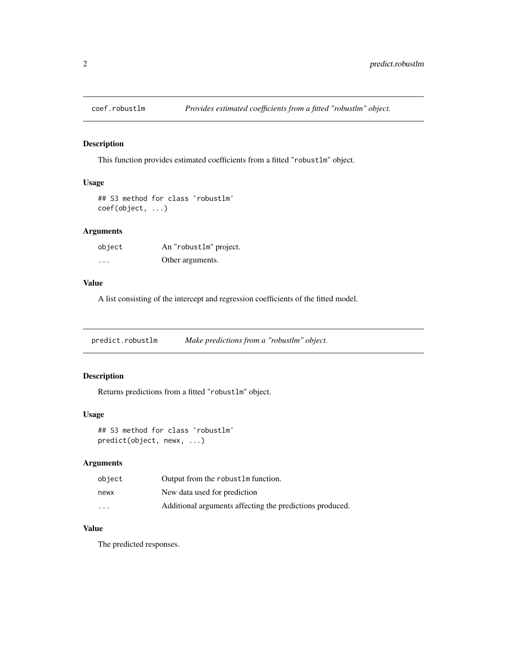<span id="page-1-0"></span>

#### Description

This function provides estimated coefficients from a fitted "robustlm" object.

#### Usage

```
## S3 method for class 'robustlm'
coef(object, ...)
```
#### Arguments

| object   | An "robustlm" project. |
|----------|------------------------|
| $\cdots$ | Other arguments.       |

#### Value

A list consisting of the intercept and regression coefficients of the fitted model.

predict.robustlm *Make predictions from a "robustlm" object.*

#### Description

Returns predictions from a fitted "robustlm" object.

#### Usage

## S3 method for class 'robustlm' predict(object, newx, ...)

#### Arguments

| object   | Output from the robust Im function.                      |
|----------|----------------------------------------------------------|
| newx     | New data used for prediction                             |
| $\cdots$ | Additional arguments affecting the predictions produced. |

#### Value

The predicted responses.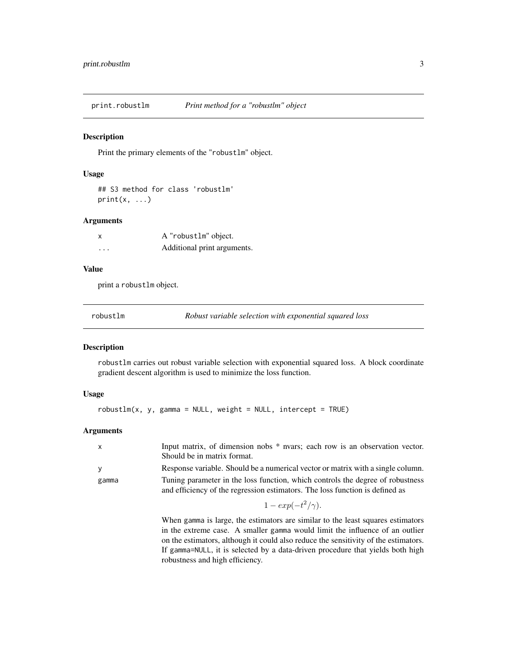<span id="page-2-0"></span>print.robustlm *Print method for a "robustlm" object*

#### Description

Print the primary elements of the "robustlm" object.

#### Usage

```
## S3 method for class 'robustlm'
print(x, \ldots)
```
#### Arguments

|          | A "robust1m" object.        |
|----------|-----------------------------|
| $\cdots$ | Additional print arguments. |

#### Value

print a robustlm object.

robustlm *Robust variable selection with exponential squared loss*

#### Description

robustlm carries out robust variable selection with exponential squared loss. A block coordinate gradient descent algorithm is used to minimize the loss function.

#### Usage

 $robustlm(x, y, gamma = NULL, weight = NULL, intercept = TRUE)$ 

#### Arguments

| $\mathsf{x}$ | Input matrix, of dimension nobs * nvars; each row is an observation vector.<br>Should be in matrix format.                                                     |
|--------------|----------------------------------------------------------------------------------------------------------------------------------------------------------------|
| <b>V</b>     | Response variable. Should be a numerical vector or matrix with a single column.                                                                                |
| gamma        | Tuning parameter in the loss function, which controls the degree of robustness<br>and efficiency of the regression estimators. The loss function is defined as |
|              | $1 - exp(-t^2/\gamma)$ .                                                                                                                                       |

When gamma is large, the estimators are similar to the least squares estimators in the extreme case. A smaller gamma would limit the influence of an outlier on the estimators, although it could also reduce the sensitivity of the estimators. If gamma=NULL, it is selected by a data-driven procedure that yields both high robustness and high efficiency.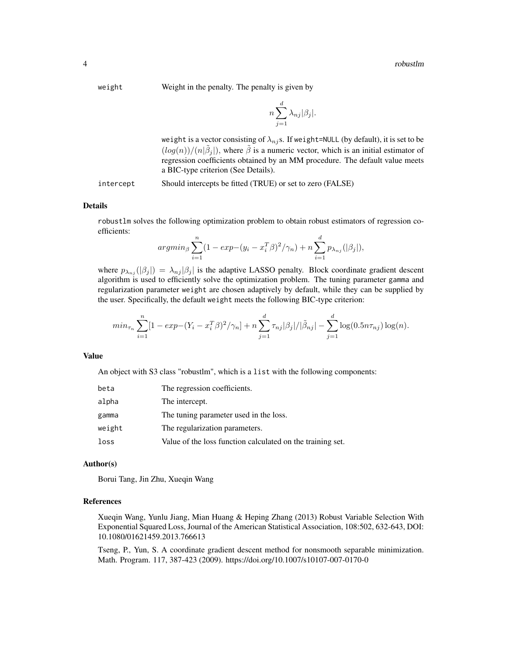weight Weight in the penalty. The penalty is given by

$$
n\sum_{j=1}^{d}\lambda_{nj}|\beta_j|.
$$

weight is a vector consisting of  $\lambda_{nj}$ s. If weight=NULL (by default), it is set to be  $(log(n))/(n|\tilde{\beta}_j|)$ , where  $\tilde{\beta}$  is a numeric vector, which is an initial estimator of regression coefficients obtained by an MM procedure. The default value meets a BIC-type criterion (See Details).

intercept Should intercepts be fitted (TRUE) or set to zero (FALSE)

#### Details

robustlm solves the following optimization problem to obtain robust estimators of regression coefficients:

$$
argmin_{\beta} \sum_{i=1}^{n} (1 - exp - (y_i - x_i^T \beta)^2 / \gamma_n) + n \sum_{i=1}^{d} p_{\lambda_{nj}}(|\beta_j|),
$$

where  $p_{\lambda_{nj}}(|\beta_j|) = \lambda_{nj} |\beta_j|$  is the adaptive LASSO penalty. Block coordinate gradient descent algorithm is used to efficiently solve the optimization problem. The tuning parameter gamma and regularization parameter weight are chosen adaptively by default, while they can be supplied by the user. Specifically, the default weight meets the following BIC-type criterion:

$$
min_{\tau_n} \sum_{i=1}^n [1 - exp - (Y_i - x_i^T \beta)^2 / \gamma_n] + n \sum_{j=1}^d \tau_{nj} |\beta_j| / |\tilde{\beta}_{nj}| - \sum_{j=1}^d \log(0.5n\tau_{nj}) \log(n).
$$

#### Value

An object with S3 class "robustlm", which is a list with the following components:

| beta   | The regression coefficients.                               |
|--------|------------------------------------------------------------|
| alpha  | The intercept.                                             |
| gamma  | The tuning parameter used in the loss.                     |
| weight | The regularization parameters.                             |
| loss   | Value of the loss function calculated on the training set. |

#### Author(s)

Borui Tang, Jin Zhu, Xueqin Wang

#### References

Xueqin Wang, Yunlu Jiang, Mian Huang & Heping Zhang (2013) Robust Variable Selection With Exponential Squared Loss, Journal of the American Statistical Association, 108:502, 632-643, DOI: 10.1080/01621459.2013.766613

Tseng, P., Yun, S. A coordinate gradient descent method for nonsmooth separable minimization. Math. Program. 117, 387-423 (2009). https://doi.org/10.1007/s10107-007-0170-0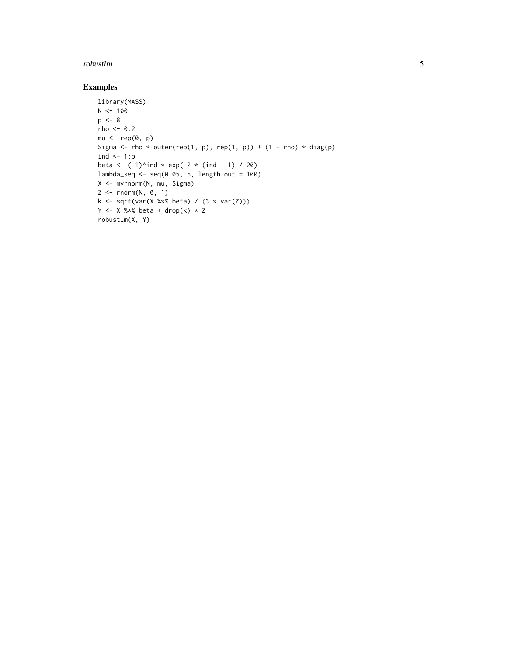#### robustlm **5**

#### Examples

```
library(MASS)
N < - 100p \le -8rho <-0.2mu < - rep(0, p)Sigma \leq rho \star outer(rep(1, p), rep(1, p)) + (1 - rho) \star diag(p)
ind \leftarrow 1:p
beta <- (-1)^{n}ind * exp(-2 * (ind - 1) / 20)
lambda_seq \leftarrow seq(0.05, 5, length.out = 100)X <- mvrnorm(N, mu, Sigma)
Z \leftarrow \text{norm}(N, 0, 1)k \le sqrt(var(X %*% beta) / (3 * var(Z)))Y \leftarrow X %*% beta + drop(k) * Z
robustlm(X, Y)
```